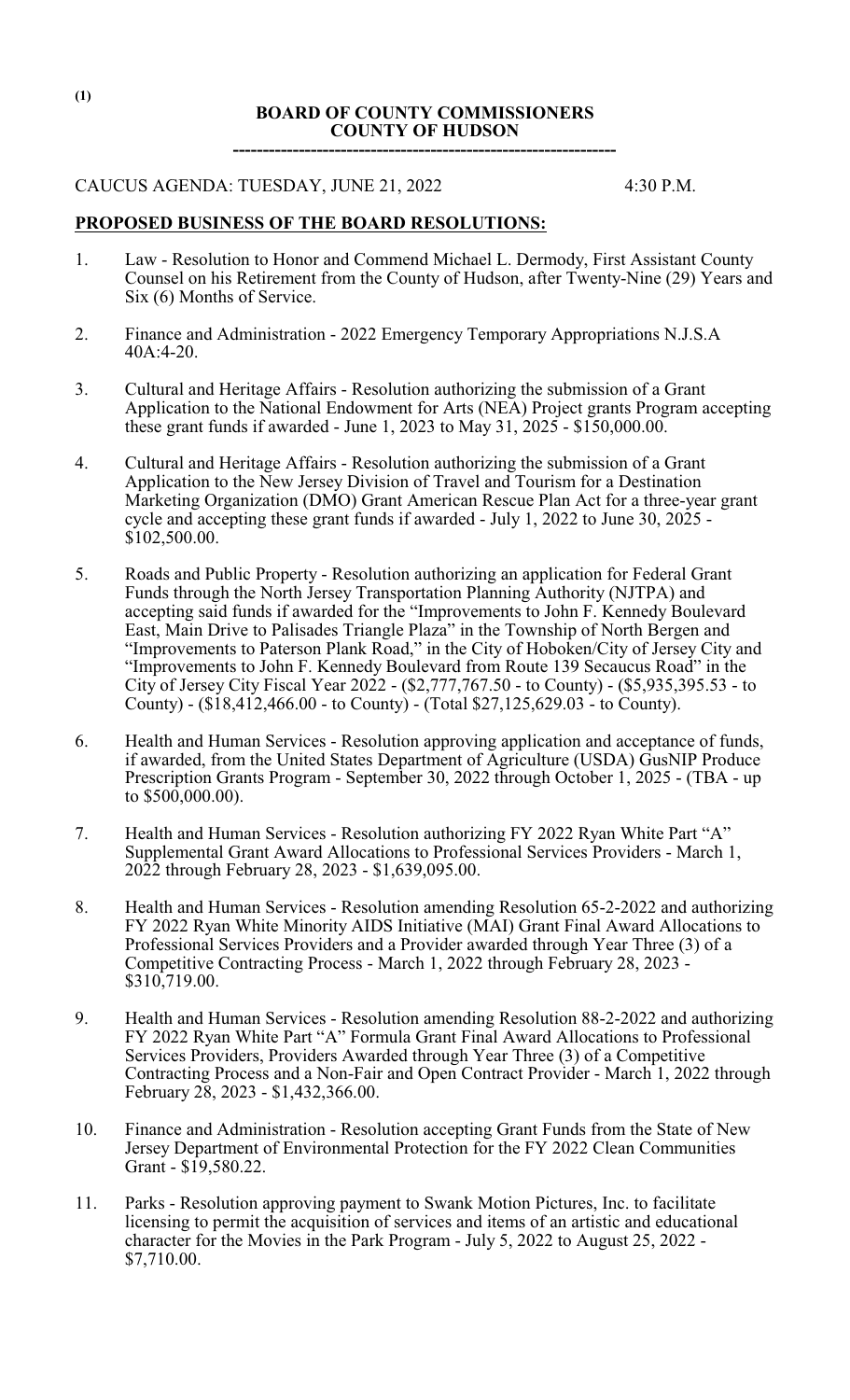### **BOARD OF COUNTY COMMISSIONERS COUNTY OF HUDSON**

**----------------------------------------------------------------**

#### CAUCUS AGENDA: TUESDAY, JUNE 21, 2022 4:30 P.M.

### **PROPOSED BUSINESS OF THE BOARD RESOLUTIONS:**

- 1. Law Resolution to Honor and Commend Michael L. Dermody, First Assistant County Counsel on his Retirement from the County of Hudson, after Twenty-Nine (29) Years and Six (6) Months of Service.
- 2. Finance and Administration 2022 Emergency Temporary Appropriations N.J.S.A 40A:4-20.
- 3. Cultural and Heritage Affairs Resolution authorizing the submission of a Grant Application to the National Endowment for Arts (NEA) Project grants Program accepting these grant funds if awarded - June 1, 2023 to May 31,  $2025 - $150,000.00$ .
- 4. Cultural and Heritage Affairs Resolution authorizing the submission of a Grant Application to the New Jersey Division of Travel and Tourism for a Destination Marketing Organization (DMO) Grant American Rescue Plan Act for a three-year grant cycle and accepting these grant funds if awarded - July 1, 2022 to June 30, 2025 - \$102,500.00.
- 5. Roads and Public Property Resolution authorizing an application for Federal Grant Funds through the North Jersey Transportation Planning Authority (NJTPA) and accepting said funds if awarded for the "Improvements to John F. Kennedy Boulevard East, Main Drive to Palisades Triangle Plaza" in the Township of North Bergen and "Improvements to Paterson Plank Road," in the City of Hoboken/City of Jersey City and "Improvements to John F. Kennedy Boulevard from Route 139 Secaucus Road" in the City of Jersey City Fiscal Year 2022 - (\$2,777,767.50 - to County) - (\$5,935,395.53 - to County) - (\$18,412,466.00 - to County) - (Total \$27,125,629.03 - to County).
- 6. Health and Human Services Resolution approving application and acceptance of funds, if awarded, from the United States Department of Agriculture (USDA) GusNIP Produce Prescription Grants Program - September 30, 2022 through October 1, 2025 - (TBA - up to \$500,000.00).
- 7. Health and Human Services Resolution authorizing FY 2022 Ryan White Part "A" Supplemental Grant Award Allocations to Professional Services Providers - March 1, 2022 through February 28, 2023 - \$1,639,095.00.
- 8. Health and Human Services Resolution amending Resolution 65-2-2022 and authorizing FY 2022 Ryan White Minority AIDS Initiative (MAI) Grant Final Award Allocations to Professional Services Providers and a Provider awarded through Year Three (3) of a Competitive Contracting Process - March 1, 2022 through February 28, 2023 - \$310,719.00.
- 9. Health and Human Services Resolution amending Resolution 88-2-2022 and authorizing FY 2022 Ryan White Part "A" Formula Grant Final Award Allocations to Professional Services Providers, Providers Awarded through Year Three (3) of a Competitive Contracting Process and a Non-Fair and Open Contract Provider - March 1, 2022 through February 28, 2023 - \$1,432,366.00.
- 10. Finance and Administration Resolution accepting Grant Funds from the State of New Jersey Department of Environmental Protection for the FY 2022 Clean Communities Grant - \$19,580.22.
- 11. Parks Resolution approving payment to Swank Motion Pictures, Inc. to facilitate licensing to permit the acquisition of services and items of an artistic and educational character for the Movies in the Park Program - July 5, 2022 to August 25, 2022 - \$7,710.00.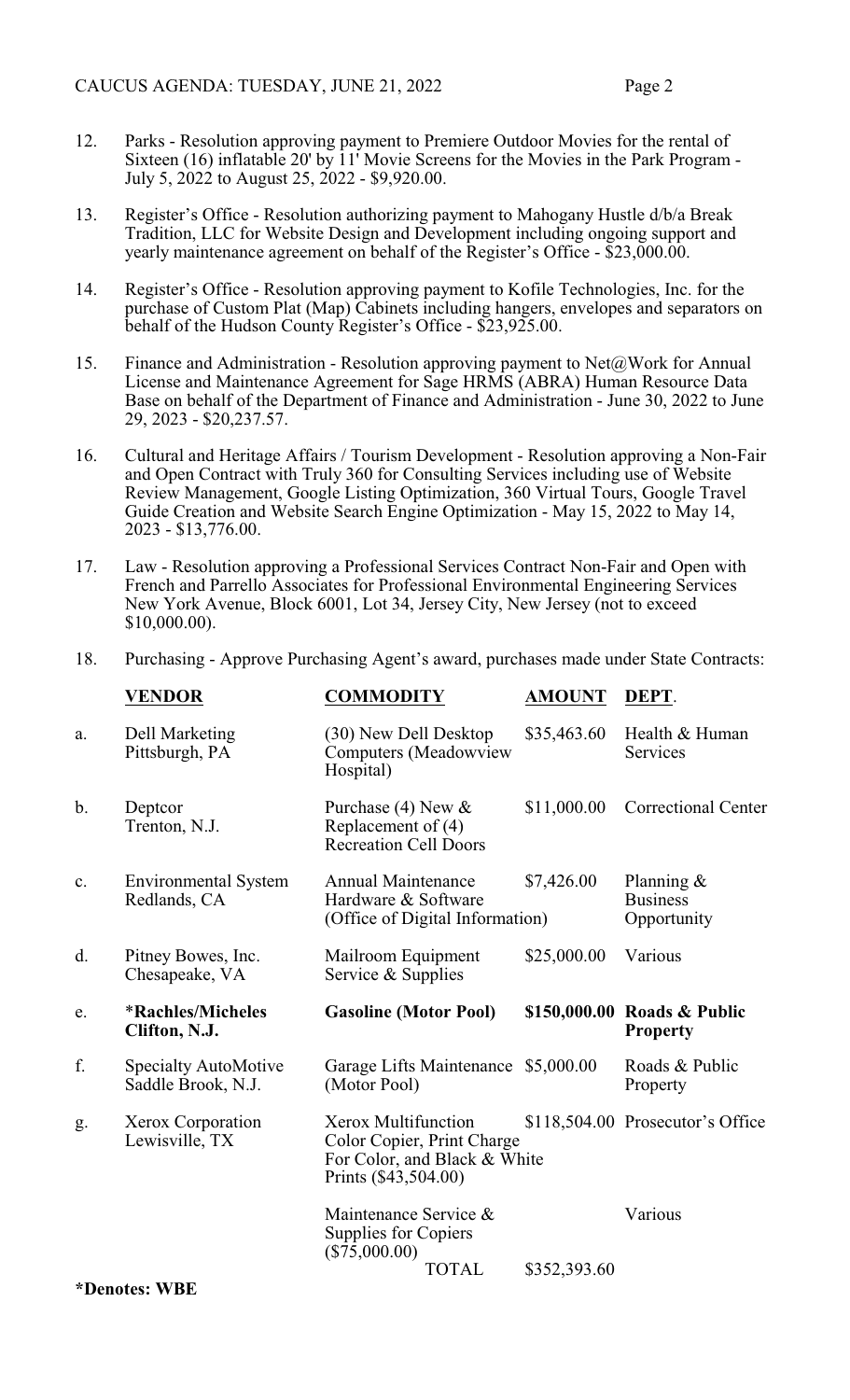- 12. Parks Resolution approving payment to Premiere Outdoor Movies for the rental of Sixteen (16) inflatable 20' by 11' Movie Screens for the Movies in the Park Program - July 5, 2022 to August 25, 2022 - \$9,920.00.
- 13. Register's Office Resolution authorizing payment to Mahogany Hustle d/b/a Break Tradition, LLC for Website Design and Development including ongoing support and yearly maintenance agreement on behalf of the Register's Office - \$23,000.00.
- 14. Register's Office Resolution approving payment to Kofile Technologies, Inc. for the purchase of Custom Plat (Map) Cabinets including hangers, envelopes and separators on behalf of the Hudson County Register's Office - \$23,925.00.
- 15. Finance and Administration Resolution approving payment to Net $\omega$ Work for Annual License and Maintenance Agreement for Sage HRMS (ABRA) Human Resource Data Base on behalf of the Department of Finance and Administration - June 30, 2022 to June 29, 2023 - \$20,237.57.
- 16. Cultural and Heritage Affairs / Tourism Development Resolution approving a Non-Fair and Open Contract with Truly 360 for Consulting Services including use of Website Review Management, Google Listing Optimization, 360 Virtual Tours, Google Travel Guide Creation and Website Search Engine Optimization - May 15, 2022 to May 14, 2023 - \$13,776.00.
- 17. Law Resolution approving a Professional Services Contract Non-Fair and Open with French and Parrello Associates for Professional Environmental Engineering Services New York Avenue, Block 6001, Lot 34, Jersey City, New Jersey (not to exceed \$10,000.00).
- 18. Purchasing Approve Purchasing Agent's award, purchases made under State Contracts:

|    | <b>VENDOR</b>                                     | <b>COMMODITY</b>                                                                                          | <b>AMOUNT</b> | DEPT.                                           |
|----|---------------------------------------------------|-----------------------------------------------------------------------------------------------------------|---------------|-------------------------------------------------|
| a. | Dell Marketing<br>Pittsburgh, PA                  | (30) New Dell Desktop<br>Computers (Meadowview<br>Hospital)                                               | \$35,463.60   | Health & Human<br>Services                      |
| b. | Deptcor<br>Trenton, N.J.                          | Purchase (4) New $\&$<br>Replacement of $(4)$<br><b>Recreation Cell Doors</b>                             | \$11,000.00   | <b>Correctional Center</b>                      |
| c. | <b>Environmental System</b><br>Redlands, CA       | Annual Maintenance<br>Hardware & Software<br>(Office of Digital Information)                              | \$7,426.00    | Planning $\&$<br><b>Business</b><br>Opportunity |
| d. | Pitney Bowes, Inc.<br>Chesapeake, VA              | Mailroom Equipment<br>Service & Supplies                                                                  | \$25,000.00   | Various                                         |
|    |                                                   |                                                                                                           |               |                                                 |
| e. | <i><b>*Rachles/Micheles</b></i><br>Clifton, N.J.  | <b>Gasoline (Motor Pool)</b>                                                                              |               | \$150,000.00 Roads & Public<br><b>Property</b>  |
| f. | <b>Specialty AutoMotive</b><br>Saddle Brook, N.J. | Garage Lifts Maintenance \$5,000.00<br>(Motor Pool)                                                       |               | Roads & Public<br>Property                      |
| g. | Xerox Corporation<br>Lewisville, TX               | Xerox Multifunction<br>Color Copier, Print Charge<br>For Color, and Black & White<br>Prints (\$43,504.00) |               | \$118,504.00 Prosecutor's Office                |
|    |                                                   | Maintenance Service &<br>Supplies for Copiers<br>$(\$75,000.00)$                                          |               | Various                                         |

**\*Denotes: WBE**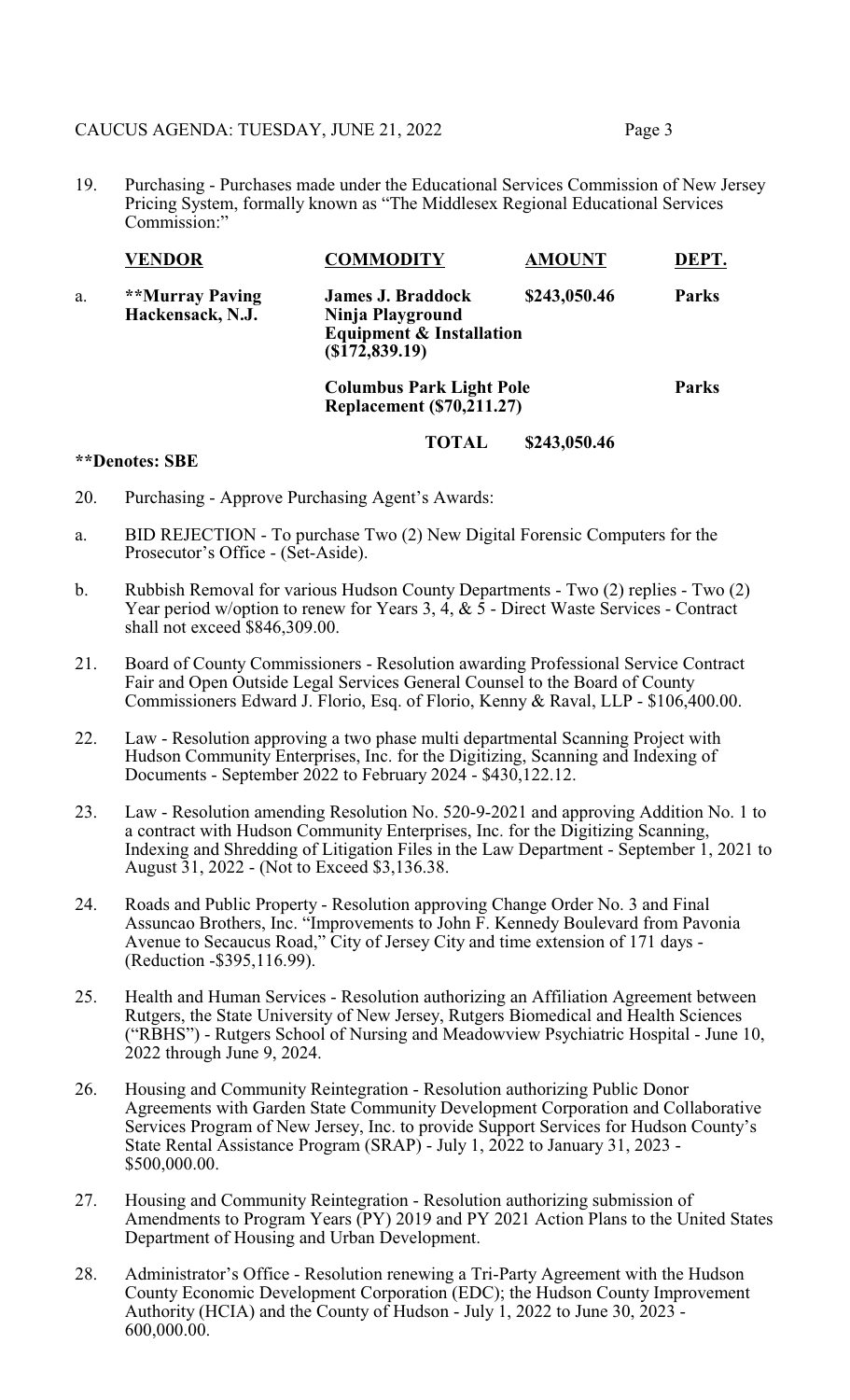### CAUCUS AGENDA: TUESDAY, JUNE 21, 2022 Page 3

- 
- 19. Purchasing Purchases made under the Educational Services Commission of New Jersey Pricing System, formally known as "The Middlesex Regional Educational Services Commission:"

|    | <b>VENDOR</b>                       | <b>COMMODITY</b>                                                                                      | <b>AMOUNT</b> | DEPT.        |
|----|-------------------------------------|-------------------------------------------------------------------------------------------------------|---------------|--------------|
| a. | **Murray Paving<br>Hackensack, N.J. | <b>James J. Braddock</b><br>Ninja Playground<br><b>Equipment &amp; Installation</b><br>(\$172,839.19) | \$243,050.46  | <b>Parks</b> |
|    |                                     | <b>Columbus Park Light Pole</b><br><b>Replacement (\$70,211.27)</b>                                   |               | <b>Parks</b> |

#### **TOTAL \$243,050.46**

### **\*\*Denotes: SBE**

- 20. Purchasing Approve Purchasing Agent's Awards:
- a. BID REJECTION To purchase Two (2) New Digital Forensic Computers for the Prosecutor's Office - (Set-Aside).
- b. Rubbish Removal for various Hudson County Departments Two (2) replies Two (2) Year period w/option to renew for Years 3,  $\overline{4}$ ,  $\& \overline{5}$  - Direct Waste Services - Contract shall not exceed \$846,309.00.
- 21. Board of County Commissioners Resolution awarding Professional Service Contract Fair and Open Outside Legal Services General Counsel to the Board of County Commissioners Edward J. Florio, Esq. of Florio, Kenny & Raval, LLP - \$106,400.00.
- 22. Law Resolution approving a two phase multi departmental Scanning Project with Hudson Community Enterprises, Inc. for the Digitizing, Scanning and Indexing of Documents - September 2022 to February 2024 - \$430,122.12.
- 23. Law Resolution amending Resolution No. 520-9-2021 and approving Addition No. 1 to a contract with Hudson Community Enterprises, Inc. for the Digitizing Scanning, Indexing and Shredding of Litigation Files in the Law Department - September 1, 2021 to August 31, 2022 - (Not to Exceed \$3,136.38.
- 24. Roads and Public Property Resolution approving Change Order No. 3 and Final Assuncao Brothers, Inc. "Improvements to John F. Kennedy Boulevard from Pavonia Avenue to Secaucus Road," City of Jersey City and time extension of 171 days - (Reduction -\$395,116.99).
- 25. Health and Human Services Resolution authorizing an Affiliation Agreement between Rutgers, the State University of New Jersey, Rutgers Biomedical and Health Sciences ("RBHS") - Rutgers School of Nursing and Meadowview Psychiatric Hospital - June 10, 2022 through June 9, 2024.
- 26. Housing and Community Reintegration Resolution authorizing Public Donor Agreements with Garden State Community Development Corporation and Collaborative Services Program of New Jersey, Inc. to provide Support Services for Hudson County's State Rental Assistance Program (SRAP) - July 1, 2022 to January 31, 2023 - \$500,000.00.
- 27. Housing and Community Reintegration Resolution authorizing submission of Amendments to Program Years (PY) 2019 and PY 2021 Action Plans to the United States Department of Housing and Urban Development.
- 28. Administrator's Office Resolution renewing a Tri-Party Agreement with the Hudson County Economic Development Corporation (EDC); the Hudson County Improvement Authority (HCIA) and the County of Hudson - July 1, 2022 to June 30, 2023 - 600,000.00.